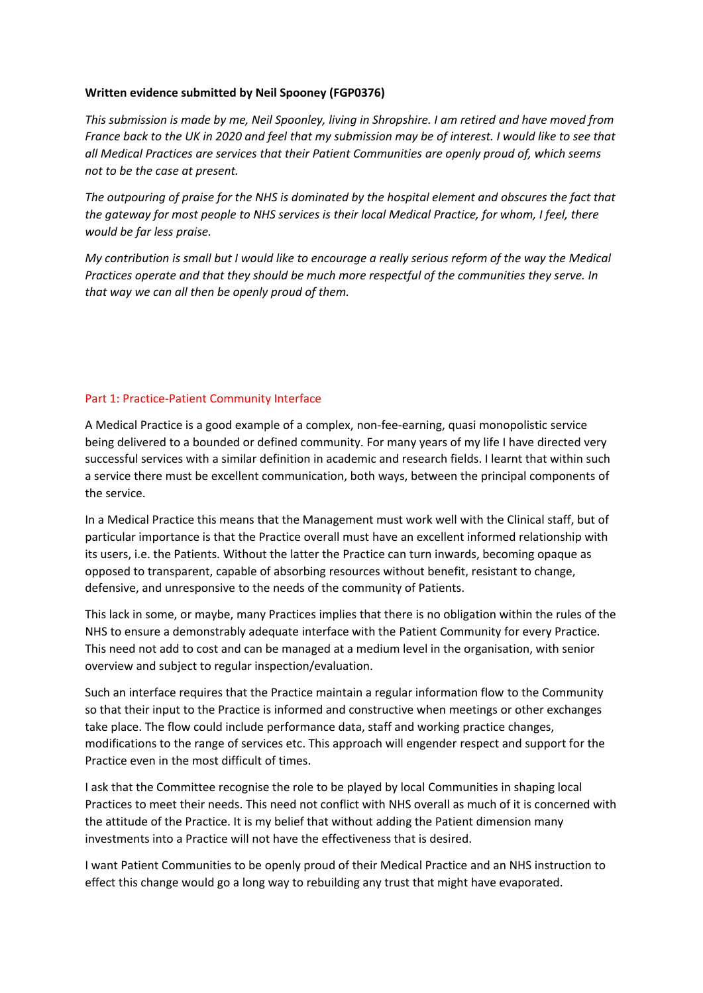## **Written evidence submitted by Neil Spooney (FGP0376)**

This submission is made by me, Neil Spoonley, living in Shropshire. I am retired and have moved from France back to the UK in 2020 and feel that my submission may be of interest. I would like to see that *all Medical Practices are services that their Patient Communities are openly proud of, which seems not to be the case at present.*

The outpouring of praise for the NHS is dominated by the hospital element and obscures the fact that the aateway for most people to NHS services is their local Medical Practice, for whom, I feel, there *would be far less praise.*

My contribution is small but I would like to encourage a really serious reform of the way the Medical *Practices operate and that they should be much more respectful of the communities they serve. In that way we can all then be openly proud of them.*

## Part 1: Practice-Patient Community Interface

A Medical Practice is a good example of a complex, non-fee-earning, quasi monopolistic service being delivered to a bounded or defined community. For many years of my life I have directed very successful services with a similar definition in academic and research fields. I learnt that within such a service there must be excellent communication, both ways, between the principal components of the service.

In a Medical Practice this means that the Management must work well with the Clinical staff, but of particular importance is that the Practice overall must have an excellent informed relationship with its users, i.e. the Patients. Without the latter the Practice can turn inwards, becoming opaque as opposed to transparent, capable of absorbing resources without benefit, resistant to change, defensive, and unresponsive to the needs of the community of Patients.

This lack in some, or maybe, many Practices implies that there is no obligation within the rules of the NHS to ensure a demonstrably adequate interface with the Patient Community for every Practice. This need not add to cost and can be managed at a medium level in the organisation, with senior overview and subject to regular inspection/evaluation.

Such an interface requires that the Practice maintain a regular information flow to the Community so that their input to the Practice is informed and constructive when meetings or other exchanges take place. The flow could include performance data, staff and working practice changes, modifications to the range of services etc. This approach will engender respect and support for the Practice even in the most difficult of times.

I ask that the Committee recognise the role to be played by local Communities in shaping local Practices to meet their needs. This need not conflict with NHS overall as much of it is concerned with the attitude of the Practice. It is my belief that without adding the Patient dimension many investments into a Practice will not have the effectiveness that is desired.

I want Patient Communities to be openly proud of their Medical Practice and an NHS instruction to effect this change would go a long way to rebuilding any trust that might have evaporated.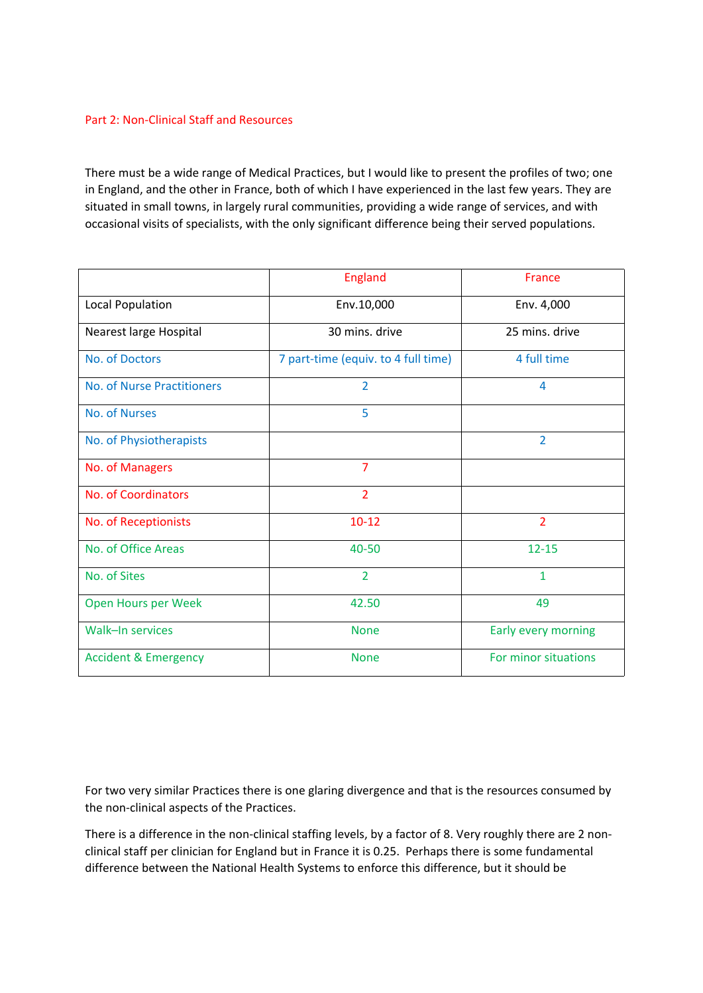## Part 2: Non-Clinical Staff and Resources

There must be a wide range of Medical Practices, but I would like to present the profiles of two; one in England, and the other in France, both of which I have experienced in the last few years. They are situated in small towns, in largely rural communities, providing a wide range of services, and with occasional visits of specialists, with the only significant difference being their served populations.

|                                 | England                             | <b>France</b>        |
|---------------------------------|-------------------------------------|----------------------|
| Local Population                | Env.10,000                          | Env. 4,000           |
| Nearest large Hospital          | 30 mins. drive                      | 25 mins. drive       |
| No. of Doctors                  | 7 part-time (equiv. to 4 full time) | 4 full time          |
| No. of Nurse Practitioners      | $\overline{2}$                      | 4                    |
| No. of Nurses                   | 5                                   |                      |
| No. of Physiotherapists         |                                     | $\overline{2}$       |
| No. of Managers                 | $\overline{7}$                      |                      |
| No. of Coordinators             | 2                                   |                      |
| No. of Receptionists            | $10 - 12$                           | $\overline{2}$       |
| No. of Office Areas             | 40-50                               | $12 - 15$            |
| No. of Sites                    | $\overline{2}$                      | $\mathbf{1}$         |
| Open Hours per Week             | 42.50                               | 49                   |
| Walk-In services                | <b>None</b>                         | Early every morning  |
| <b>Accident &amp; Emergency</b> | <b>None</b>                         | For minor situations |

For two very similar Practices there is one glaring divergence and that is the resources consumed by the non-clinical aspects of the Practices.

There is a difference in the non-clinical staffing levels, by a factor of 8. Very roughly there are 2 nonclinical staff per clinician for England but in France it is 0.25. Perhaps there is some fundamental difference between the National Health Systems to enforce this difference, but it should be